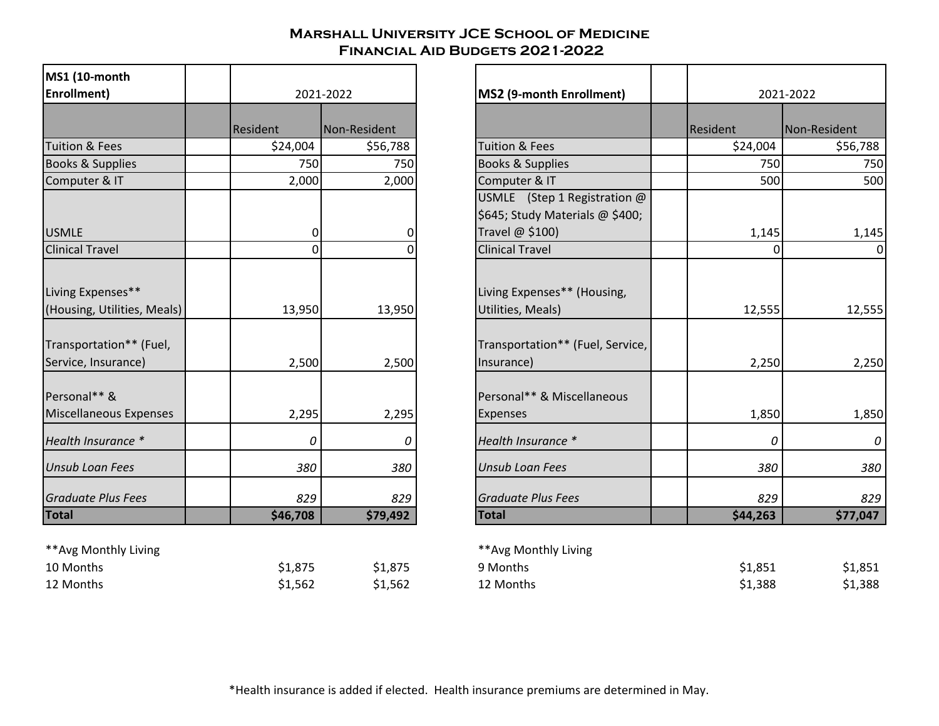## **Marshall University JCE School of Medicine Financial Aid Budgets 2021-2022**

| <b>MS1 (10-month</b><br>Enrollment)                                         |          | 2021-2022    | MS2 (9-month Enrollment)                                                         |
|-----------------------------------------------------------------------------|----------|--------------|----------------------------------------------------------------------------------|
|                                                                             | Resident | Non-Resident |                                                                                  |
| Tuition & Fees                                                              | \$24,004 | \$56,788     | <b>Tuition &amp; Fees</b>                                                        |
| Books & Supplies                                                            | 750      | 750          | Books & Supplies                                                                 |
| Computer & IT                                                               | 2,000    | 2,000        | Computer & IT                                                                    |
|                                                                             |          |              | USMLE (Step 1 Registratio                                                        |
|                                                                             |          |              | \$645; Study Materials @ \$4                                                     |
| <b>USMLE</b>                                                                | 0        | Ω            | Travel @ \$100)                                                                  |
| <b>Clinical Travel</b>                                                      | 0        |              | <b>Clinical Travel</b>                                                           |
| Living Expenses**<br>(Housing, Utilities, Meals)<br>Transportation** (Fuel, | 13,950   | 13,950       | Living Expenses** (Housing,<br>Utilities, Meals)<br>Transportation** (Fuel, Serv |
| Service, Insurance)                                                         | 2,500    | 2,500        | Insurance)                                                                       |
| Personal** &<br>Miscellaneous Expenses                                      | 2,295    | 2,295        | Personal** & Miscellaneous<br>Expenses                                           |
| Health Insurance *                                                          | $\Omega$ | 0            | Health Insurance *                                                               |
| <b>Unsub Loan Fees</b>                                                      | 380      | 380          | <b>Unsub Loan Fees</b>                                                           |
| <b>Graduate Plus Fees</b>                                                   | 829      | 829          | <b>Graduate Plus Fees</b>                                                        |
| <b>Total</b>                                                                | \$46,708 | \$79,492     | <b>Total</b>                                                                     |

\*\*Avg Monthly Living \*\*Avg Monthly Living

| 10 Months | \$1,875 | \$1,875 |
|-----------|---------|---------|
| 12 Months | \$1,562 | \$1,562 |

| MS1 (10-month<br>Enrollment)                                                                       |                 | 2021-2022       | <b>MS2 (9-month Enrollment)</b>                                                                    | 2021-2022       |  |
|----------------------------------------------------------------------------------------------------|-----------------|-----------------|----------------------------------------------------------------------------------------------------|-----------------|--|
|                                                                                                    | <b>Resident</b> | Non-Resident    |                                                                                                    | Resident        |  |
| <b>Tuition &amp; Fees</b>                                                                          | \$24,004        | \$56,788        | <b>Tuition &amp; Fees</b>                                                                          | \$24,004        |  |
| Books & Supplies                                                                                   | 750             | 750             | Books & Supplies                                                                                   | 750             |  |
| Computer & IT                                                                                      | 2,000           | 2,000           | Computer & IT                                                                                      | 500             |  |
| <b>USMLE</b>                                                                                       | 0               | 0               | USMLE (Step 1 Registration $@$<br>\$645; Study Materials @ \$400;<br>Travel @ \$100)               | 1,145           |  |
| <b>Clinical Travel</b>                                                                             | $\Omega$        |                 | <b>Clinical Travel</b>                                                                             |                 |  |
| Living Expenses**<br>(Housing, Utilities, Meals)<br>Transportation** (Fuel,<br>Service, Insurance) | 13,950<br>2,500 | 13,950<br>2,500 | Living Expenses** (Housing,<br>Utilities, Meals)<br>Transportation** (Fuel, Service,<br>Insurance) | 12,555<br>2,250 |  |
| Personal** &<br>Miscellaneous Expenses<br>Health Insurance *                                       | 2,295<br>0      | 2,295<br>0      | Personal** & Miscellaneous<br><b>Expenses</b><br>Health Insurance *                                | 1,850<br>0      |  |
| <b>Unsub Loan Fees</b>                                                                             | 380             | 380             | <b>Unsub Loan Fees</b>                                                                             | 380             |  |
| <b>Graduate Plus Fees</b><br><b>Total</b>                                                          | 829<br>\$46,708 | 829<br>\$79,492 | <b>Graduate Plus Fees</b><br><b>Total</b>                                                          | 829<br>\$44,263 |  |

| **Avg Monthly Living |         |         | **Avg Monthly Living |         |         |
|----------------------|---------|---------|----------------------|---------|---------|
| 10 Months            | \$1,875 | \$1,875 | 9 Months             | \$1,851 | \$1,851 |
| 12 Months            | \$1,562 | \$1,562 | 12 Months            | \$1,388 | \$1,388 |